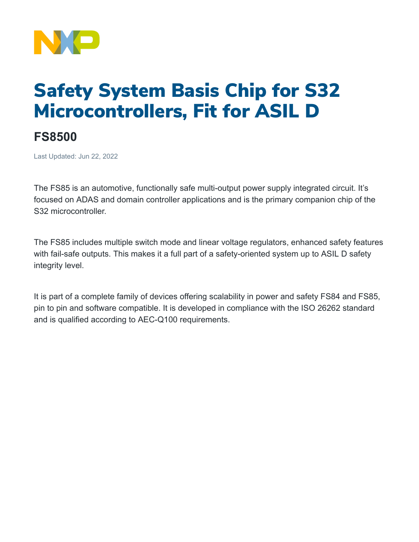

## Safety System Basis Chip for S32 Microcontrollers, Fit for ASIL D

## **FS8500**

Last Updated: Jun 22, 2022

The FS85 is an automotive, functionally safe multi-output power supply integrated circuit. It's focused on ADAS and domain controller applications and is the primary companion chip of the S32 microcontroller.

The FS85 includes multiple switch mode and linear voltage regulators, enhanced safety features with fail-safe outputs. This makes it a full part of a safety-oriented system up to ASIL D safety integrity level.

It is part of a complete family of devices offering scalability in power and safety FS84 and FS85, pin to pin and software compatible. It is developed in compliance with the ISO 26262 standard and is qualified according to AEC-Q100 requirements.